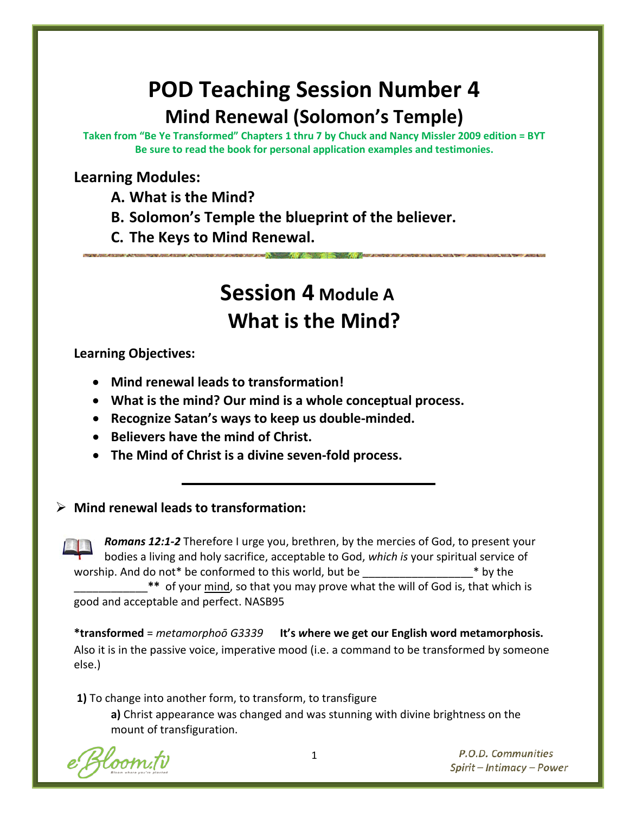# **POD Teaching Session Number 4 Mind Renewal (Solomon's Temple)**

**Taken from "Be Ye Transformed" Chapters 1 thru 7 by Chuck and Nancy Missler 2009 edition = BYT Be sure to read the book for personal application examples and testimonies.**

# **Learning Modules:**

**A. What is the Mind?**

**B. Solomon's Temple the blueprint of the believer.**

**C. The Keys to Mind Renewal.**

# **Session 4 Module A What is the Mind?**

**Learning Objectives:**

• **Mind renewal leads to transformation!**

• **What is the mind? Our mind is a whole conceptual process.**

• **Recognize Satan's ways to keep us double-minded.**

• **Believers have the mind of Christ.**

• **The Mind of Christ is a divine seven-fold process.**

## **Mind renewal leads to transformation:**

*Romans 12:1-2* Therefore I urge you, brethren, by the mercies of God, to present your bodies a living and holy sacrifice, acceptable to God, *which is* your spiritual service of worship. And do not\* be conformed to this world, but be  $\longrightarrow$  \* by the \_\_\_\_\_\_\_\_\_\_\_\_**\*\*** of your mind, so that you may prove what the will of God is, that which is good and acceptable and perfect. NASB95

**\*transformed** = *metamorphoō G3339* **It's** *w***here we get our English word metamorphosis.** Also it is in the passive voice, imperative mood (i.e. a command to be transformed by someone else.)

**1)** To change into another form, to transform, to transfigure

**a)** Christ appearance was changed and was stunning with divine brightness on the mount of transfiguration.

oom.tv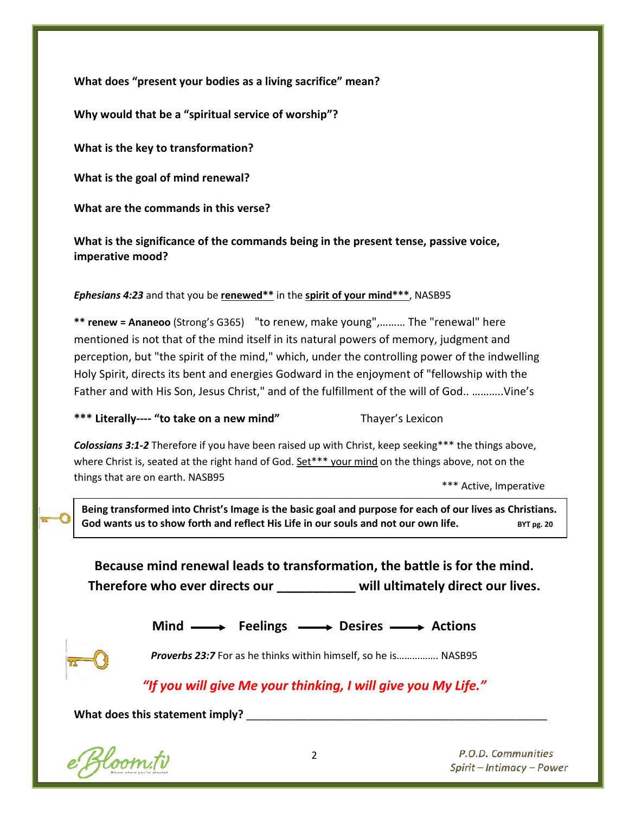**What does "present your bodies as a living sacrifice" mean?**

**Why would that be a "spiritual service of worship"?**

**What is the key to transformation?**

**What is the goal of mind renewal?**

**What are the commands in this verse?**

**What is the significance of the commands being in the present tense, passive voice, imperative mood?**

*Ephesians 4:23* and that you be **renewed\*\*** in the **spirit of your mind\*\*\***, NASB95

**\*\* renew = Ananeoo** (Strong's G365) "to renew, make young",……… The "renewal" here mentioned is not that of the mind itself in its natural powers of memory, judgment and perception, but "the spirit of the mind," which, under the controlling power of the indwelling Holy Spirit, directs its bent and energies Godward in the enjoyment of "fellowship with the Father and with His Son, Jesus Christ," and of the fulfillment of the will of God.. ………..Vine's

\*\*\* Literally---- "to take on a new mind" Thayer's Lexicon

*Colossians 3:1-2* Therefore if you have been raised up with Christ, keep seeking\*\*\* the things above, where Christ is, seated at the right hand of God. Set\*\*\* your mind on the things above, not on the things that are on earth. NASB95

\*\*\* Active, Imperative

**Being transformed into Christ's Image is the basic goal and purpose for each of our lives as Christians.**  God wants us to show forth and reflect His Life in our souls and not our own life. BYT pg. 20

**Because mind renewal leads to transformation, the battle is for the mind. Therefore who ever directs our \_\_\_\_\_\_\_\_\_\_\_ will ultimately direct our lives.**

Mind  $\longrightarrow$  Feelings  $\longrightarrow$  Desires  $\longrightarrow$  Actions

*Proverbs 23:7* For as he thinks within himself, so he is……………. NASB95

# *"If you will give Me your thinking, I will give you My Life."*

What does this statement imply?

e Bloom.tv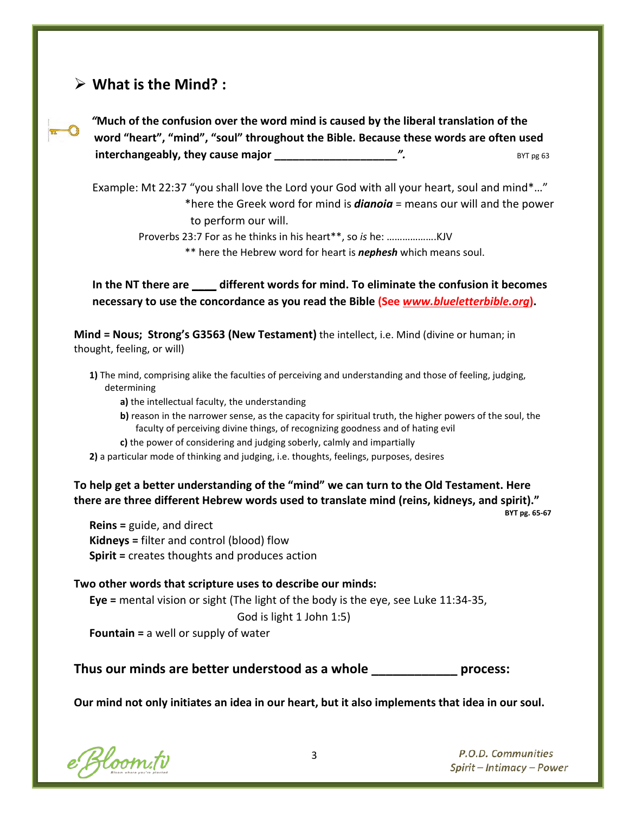## **What is the Mind? :**



*"***Much of the confusion over the word mind is caused by the liberal translation of the word "heart", "mind", "soul" throughout the Bible. Because these words are often used interchangeably, they cause major \_\_\_\_\_\_\_\_\_\_\_\_\_\_\_\_\_\_\_\_***".* BYT pg 63

Example: Mt 22:37 "you shall love the Lord your God with all your heart, soul and mind\*…" \*here the Greek word for mind is *dianoia* = means our will and the power to perform our will.

Proverbs 23:7 For as he thinks in his heart\*\*, so *is* he: ……………….KJV

\*\* here the Hebrew word for heart is *nephesh* which means soul.

**In the NT there are \_\_\_\_ different words for mind. To eliminate the confusion it becomes necessary to use the concordance as you read the Bible (See** *[www.blueletterbible.org](http://www.blueletterbible.org/)***).**

**Mind = Nous; Strong's G3563 (New Testament)** the intellect, i.e. Mind (divine or human; in thought, feeling, or will)

- **1)** The mind, comprising alike the faculties of perceiving and understanding and those of feeling, judging, determining
	- **a)** the intellectual faculty, the understanding
	- **b**) reason in the narrower sense, as the capacity for spiritual truth, the higher powers of the soul, the faculty of perceiving divine things, of recognizing goodness and of hating evil
	- **c)** the power of considering and judging soberly, calmly and impartially
- **2)** a particular mode of thinking and judging, i.e. thoughts, feelings, purposes, desires

**To help get a better understanding of the "mind" we can turn to the Old Testament. Here there are three different Hebrew words used to translate mind (reins, kidneys, and spirit)."**<br>BYT pg. 65-67

**Reins =** guide, and direct **Kidneys =** filter and control (blood) flow **Spirit =** creates thoughts and produces action

### **Two other words that scripture uses to describe our minds:**

**Eye =** mental vision or sight (The light of the body is the eye, see Luke 11:34-35,

God is light 1 John 1:5)

**Fountain =** a well or supply of water

**Thus our minds are better understood as a whole \_\_\_\_\_\_\_\_\_\_\_\_ process:**

**Our mind not only initiates an idea in our heart, but it also implements that idea in our soul.**

e Bloom.tv

3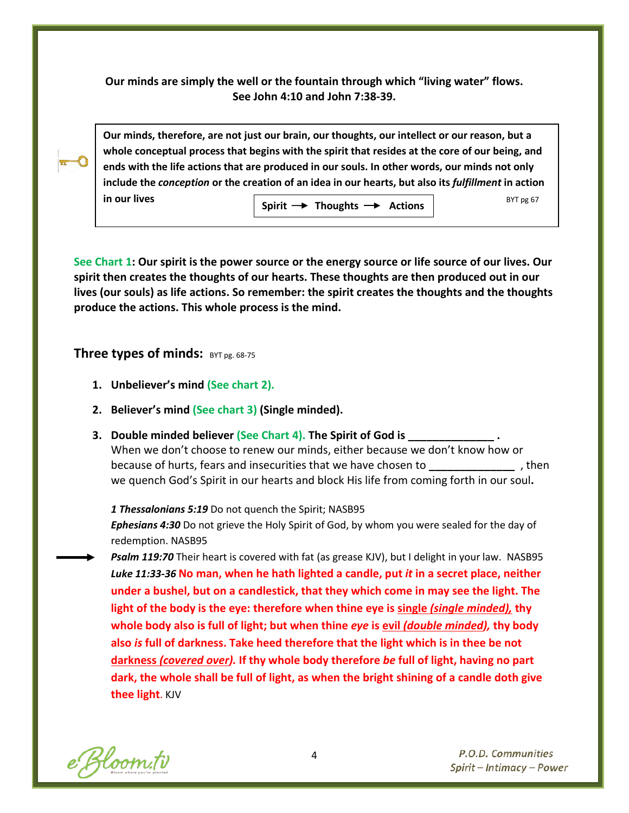**Our minds are simply the well or the fountain through which "living water" flows. See John 4:10 and John 7:38-39.**



**Our minds, therefore, are not just our brain, our thoughts, our intellect or our reason, but a whole conceptual process that begins with the spirit that resides at the core of our being, and ends with the life actions that are produced in our souls. In other words, our minds not only include the** *conception* **or the creation of an idea in our hearts, but also its** *fulfillment* **in action in our lives BYT pg 67 Spirit**  $\rightarrow$  **Thoughts**  $\rightarrow$  **Actions** 

**See Chart 1: Our spirit is the power source or the energy source or life source of our lives. Our spirit then creates the thoughts of our hearts. These thoughts are then produced out in our lives (our souls) as life actions. So remember: the spirit creates the thoughts and the thoughts produce the actions. This whole process is the mind.**

**Three types of minds:** BYT pg. 68-75

- **1. Unbeliever's mind (See chart 2).**
- **2. Believer's mind (See chart 3) (Single minded).**
- **3. Double minded believer (See Chart 4). The Spirit of God is \_\_\_\_\_\_\_\_\_\_\_\_\_\_ .** When we don't choose to renew our minds, either because we don't know how or because of hurts, fears and insecurities that we have chosen to **\_\_\_\_\_\_\_\_\_\_\_\_\_\_** , then we quench God's Spirit in our hearts and block His life from coming forth in our soul**.**

*1 Thessalonians 5:19* Do not quench the Spirit; NASB95

*Ephesians 4:30* Do not grieve the Holy Spirit of God, by whom you were sealed for the day of redemption. NASB95

*Psalm 119:70* Their heart is covered with fat (as grease KJV), but I delight in your law. NASB95 *Luke 11:33-36* **No man, when he hath lighted a candle, put** *it* **in a secret place, neither under a bushel, but on a candlestick, that they which come in may see the light. The light of the body is the eye: therefore when thine eye is single** *(single minded),* **thy whole body also is full of light; but when thine** *eye* **is evil** *(double minded),* **thy body also** *is* **full of darkness. Take heed therefore that the light which is in thee be not darkness** *(covered over).* **If thy whole body therefore** *be* **full of light, having no part dark, the whole shall be full of light, as when the bright shining of a candle doth give thee light**. KJV

e Bloom.tv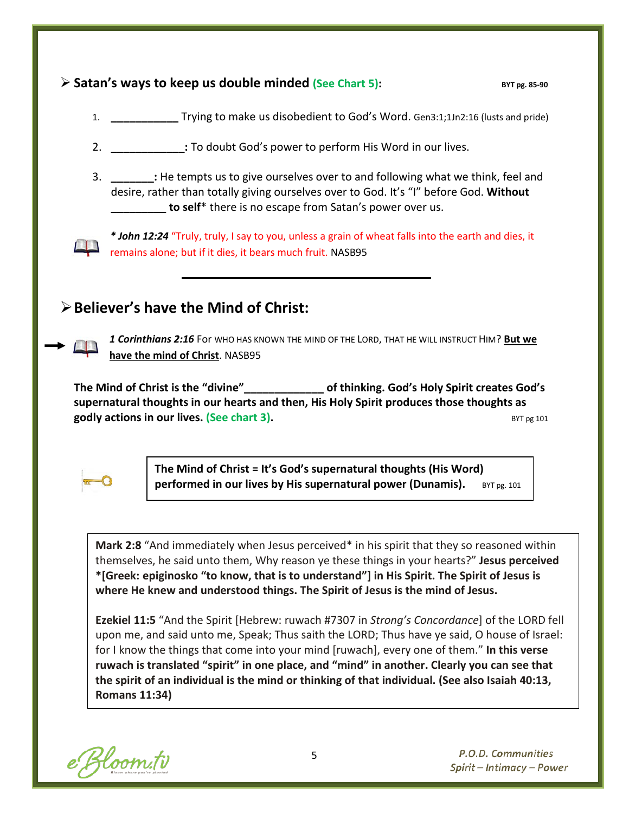## **Example 2 Satan's ways to keep us double minded (See Chart 5):** BYT pg. 85-90

- 1. **\_\_\_\_\_\_\_\_\_\_\_** Trying to make us disobedient to God's Word. Gen3:1;1Jn2:16 (lusts and pride)
- 2. **\_\_\_\_\_\_\_\_\_\_\_\_:** To doubt God's power to perform His Word in our lives.
- 3. **\_\_\_\_\_\_\_:** He tempts us to give ourselves over to and following what we think, feel and desire, rather than totally giving ourselves over to God. It's "I" before God. **Without \_\_\_\_\_\_\_\_\_ to self**\* there is no escape from Satan's power over us.



*\* John 12:24* "Truly, truly, I say to you, unless a grain of wheat falls into the earth and dies, it remains alone; but if it dies, it bears much fruit. NASB95

## **Believer's have the Mind of Christ:**



*1 Corinthians 2:16* For WHO HAS KNOWN THE MIND OF THE LORD, THAT HE WILL INSTRUCT HIM? **But we have the mind of Christ**. NASB95

**The Mind of Christ is the "divine"\_\_\_\_\_\_\_\_\_\_\_\_\_ of thinking. God's Holy Spirit creates God's supernatural thoughts in our hearts and then, His Holy Spirit produces those thoughts as godly actions in our lives. (See chart 3). BYT D BYT BYT BYT BYT BYT BYT BYT BYT BYT BYT BYT BYT BYT BYT BYT BYT BYT BYT BYT BYT BYT BYT BYT BYT BYT BYT BYT BYT** 



**The Mind of Christ = It's God's supernatural thoughts (His Word) performed in our lives by His supernatural power (Dunamis).** BYT pg. 101

**Mark 2:8** "And immediately when Jesus perceived\* in his spirit that they so reasoned within themselves, he said unto them, Why reason ye these things in your hearts?" **Jesus perceived \*[Greek: epiginosko "to know, that is to understand"] in His Spirit. The Spirit of Jesus is where He knew and understood things. The Spirit of Jesus is the mind of Jesus.**

**Ezekiel 11:5** "And the Spirit [Hebrew: ruwach #7307 in *Strong's Concordance*] of the LORD fell upon me, and said unto me, Speak; Thus saith the LORD; Thus have ye said, O house of Israel: for I know the things that come into your mind [ruwach], every one of them." **In this verse ruwach is translated "spirit" in one place, and "mind" in another. Clearly you can see that the spirit of an individual is the mind or thinking of that individual. (See also Isaiah 40:13, Romans 11:34)**

e Bloom.tv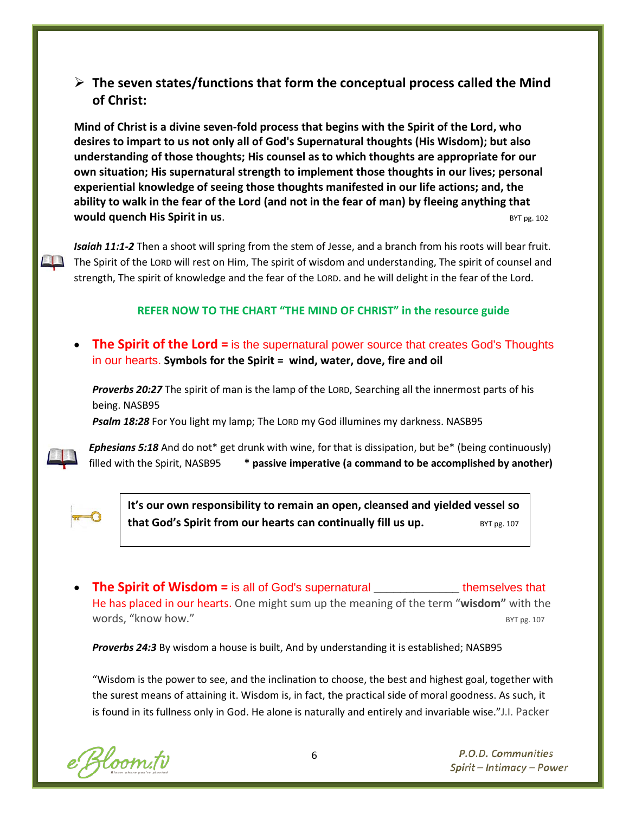## **The seven states/functions that form the conceptual process called the Mind of Christ:**

**Mind of Christ is a divine seven-fold process that begins with the Spirit of the Lord, who desires to impart to us not only all of God's Supernatural thoughts (His Wisdom); but also understanding of those thoughts; His counsel as to which thoughts are appropriate for our own situation; His supernatural strength to implement those thoughts in our lives; personal experiential knowledge of seeing those thoughts manifested in our life actions; and, the ability to walk in the fear of the Lord (and not in the fear of man) by fleeing anything that WOULD QUENCH HIS Spirit in us.** BYT pg. 102

*Isaiah 11:1-2* Then a shoot will spring from the stem of Jesse, and a branch from his roots will bear fruit. The Spirit of the LORD will rest on Him, The spirit of wisdom and understanding, The spirit of counsel and strength, The spirit of knowledge and the fear of the LORD. and he will delight in the fear of the Lord.

### **REFER NOW TO THE CHART "THE MIND OF CHRIST" in the resource guide**

**The Spirit of the Lord** = is the supernatural power source that creates God's Thoughts in our hearts. **Symbols for the Spirit = wind, water, dove, fire and oil**

*Proverbs 20:27* The spirit of man is the lamp of the LORD, Searching all the innermost parts of his being. NASB95

*Psalm 18:28* For You light my lamp; The LORD my God illumines my darkness. NASB95



*Ephesians 5:18* And do not\* get drunk with wine, for that is dissipation, but be\* (being continuously) filled with the Spirit, NASB95 **\* passive imperative (a command to be accomplished by another)**



**It's our own responsibility to remain an open, cleansed and yielded vessel so that God's Spirit from our hearts can continually fill us up.** BYT pg. 107

• **The Spirit of Wisdom =** is all of God's supernatural **\_\_\_\_\_\_\_\_\_\_\_\_\_** themselves that He has placed in our hearts. One might sum up the meaning of the term "**wisdom"** with the words, "know how."  $BYT$  pg. 107

*Proverbs 24:3* By wisdom a house is built, And by understanding it is established; NASB95

"Wisdom is the power to see, and the inclination to choose, the best and highest goal, together with the surest means of attaining it. Wisdom is, in fact, the practical side of moral goodness. As such, it is found in its fullness only in God. He alone is naturally and entirely and invariable wise."J.I. Packer

e Bloom.tv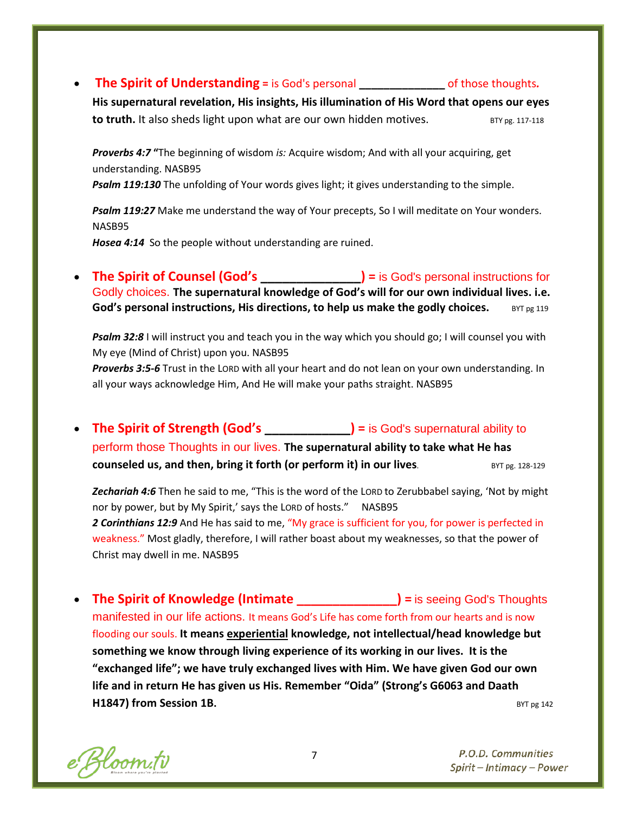### • **The Spirit of Understanding =** is God's personal **\_\_\_\_\_\_\_\_\_\_\_\_\_\_** of those thoughts*.*

**His supernatural revelation, His insights, His illumination of His Word that opens our eyes to truth.** It also sheds light upon what are our own hidden motives. BTY pg. 117-118

*Proverbs 4:7* **"**The beginning of wisdom *is:* Acquire wisdom; And with all your acquiring, get understanding. NASB95

*Psalm 119:130* The unfolding of Your words gives light; it gives understanding to the simple.

*Psalm 119:27* Make me understand the way of Your precepts, So I will meditate on Your wonders. NASB95

*Hosea 4:14* So the people without understanding are ruined.

• **The Spirit of Counsel (God's \_\_\_\_\_\_\_\_\_\_\_\_\_\_) =** is God's personal instructions for Godly choices. **The supernatural knowledge of God's will for our own individual lives. i.e. God's personal instructions, His directions, to help us make the godly choices.** BYT pg 119

*Psalm 32:8* I will instruct you and teach you in the way which you should go; I will counsel you with My eye (Mind of Christ) upon you. NASB95

*Proverbs 3:5-6* Trust in the LORD with all your heart and do not lean on your own understanding. In all your ways acknowledge Him, And He will make your paths straight. NASB95

• **The Spirit of Strength (God's )** = is God's supernatural ability to perform those Thoughts in our lives. **The supernatural ability to take what He has counseled us, and then, bring it forth (or perform it) in our lives.** BYT pg. 128-129

*Zechariah 4:6* Then he said to me, "This is the word of the LORD to Zerubbabel saying, 'Not by might nor by power, but by My Spirit,' says the LORD of hosts." NASB95 *2 Corinthians 12:9* And He has said to me, "My grace is sufficient for you, for power is perfected in weakness." Most gladly, therefore, I will rather boast about my weaknesses, so that the power of Christ may dwell in me. NASB95

• **The Spirit of Knowledge (Intimate \_\_\_\_\_\_\_\_\_\_\_\_\_\_) =** is seeing God's Thoughts manifested in our life actions. It means God's Life has come forth from our hearts and is now flooding our souls. **It means experiential knowledge, not intellectual/head knowledge but something we know through living experience of its working in our lives. It is the "exchanged life"; we have truly exchanged lives with Him. We have given God our own life and in return He has given us His. Remember "Oida" (Strong's G6063 and Daath H1847) from Session 1B. BYT pg 142** 

e Bloom.tv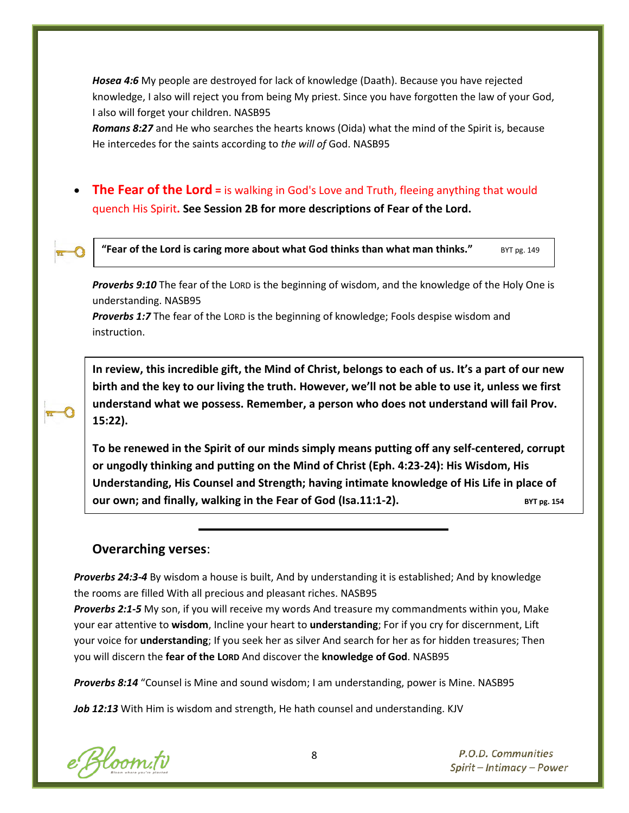*Hosea 4:6* My people are destroyed for lack of knowledge (Daath). Because you have rejected knowledge, I also will reject you from being My priest. Since you have forgotten the law of your God, I also will forget your children. NASB95

*Romans 8:27* and He who searches the hearts knows (Oida) what the mind of the Spirit is, because He intercedes for the saints according to *the will of* God. NASB95

**The Fear of the Lord** = is walking in God's Love and Truth, fleeing anything that would quench His Spirit**. See Session 2B for more descriptions of Fear of the Lord.**



**"Fear of the Lord is caring more about what God thinks than what man thinks."** BYT pg. 149

*Proverbs 9:10* The fear of the LORD is the beginning of wisdom, and the knowledge of the Holy One is understanding. NASB95

*Proverbs 1:7* The fear of the LORD is the beginning of knowledge; Fools despise wisdom and instruction.

**In review, this incredible gift, the Mind of Christ, belongs to each of us. It's a part of our new birth and the key to our living the truth. However, we'll not be able to use it, unless we first understand what we possess. Remember, a person who does not understand will fail Prov. 15:22).**

**To be renewed in the Spirit of our minds simply means putting off any self-centered, corrupt or ungodly thinking and putting on the Mind of Christ (Eph. 4:23-24): His Wisdom, His Understanding, His Counsel and Strength; having intimate knowledge of His Life in place of our own; and finally, walking in the Fear of God (Isa.11:1-2).** BYT pg. 154

## **Overarching verses**:

*Proverbs 24:3-4* By wisdom a house is built, And by understanding it is established; And by knowledge the rooms are filled With all precious and pleasant riches. NASB95

*Proverbs 2:1-5* My son, if you will receive my words And treasure my commandments within you, Make your ear attentive to **wisdom**, Incline your heart to **understanding**; For if you cry for discernment, Lift your voice for **understanding**; If you seek her as silver And search for her as for hidden treasures; Then you will discern the **fear of the LORD** And discover the **knowledge of God**. NASB95

*Proverbs 8:14* "Counsel is Mine and sound wisdom; I am understanding, power is Mine. NASB95

*Job 12:13* With Him is wisdom and strength, He hath counsel and understanding. KJV

e Bloom.tv